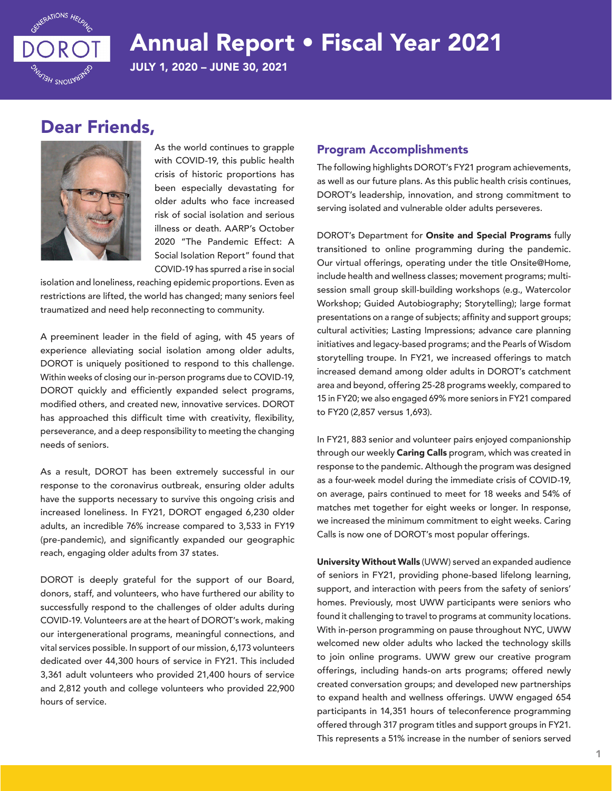

# Annual Report • Fiscal Year 2021

JULY 1, 2020 – JUNE 30, 2021

## Dear Friends,



As the world continues to grapple with COVID-19, this public health crisis of historic proportions has been especially devastating for older adults who face increased risk of social isolation and serious illness or death. AARP's October 2020 "The Pandemic Effect: A Social Isolation Report" found that COVID-19 has spurred a rise in social

isolation and loneliness, reaching epidemic proportions. Even as restrictions are lifted, the world has changed; many seniors feel traumatized and need help reconnecting to community.

A preeminent leader in the field of aging, with 45 years of experience alleviating social isolation among older adults, DOROT is uniquely positioned to respond to this challenge. Within weeks of closing our in-person programs due to COVID-19, DOROT quickly and efficiently expanded select programs, modified others, and created new, innovative services. DOROT has approached this difficult time with creativity, flexibility, perseverance, and a deep responsibility to meeting the changing needs of seniors.

As a result, DOROT has been extremely successful in our response to the coronavirus outbreak, ensuring older adults have the supports necessary to survive this ongoing crisis and increased loneliness. In FY21, DOROT engaged 6,230 older adults, an incredible 76% increase compared to 3,533 in FY19 (pre-pandemic), and significantly expanded our geographic reach, engaging older adults from 37 states.

DOROT is deeply grateful for the support of our Board, donors, staff, and volunteers, who have furthered our ability to successfully respond to the challenges of older adults during COVID-19. Volunteers are at the heart of DOROT's work, making our intergenerational programs, meaningful connections, and vital services possible. In support of our mission, 6,173 volunteers dedicated over 44,300 hours of service in FY21. This included 3,361 adult volunteers who provided 21,400 hours of service and 2,812 youth and college volunteers who provided 22,900 hours of service.

#### Program Accomplishments

The following highlights DOROT's FY21 program achievements, as well as our future plans. As this public health crisis continues, DOROT's leadership, innovation, and strong commitment to serving isolated and vulnerable older adults perseveres.

DOROT's Department for Onsite and Special Programs fully transitioned to online programming during the pandemic. Our virtual offerings, operating under the title Onsite@Home, include health and wellness classes; movement programs; multisession small group skill-building workshops (e.g., Watercolor Workshop; Guided Autobiography; Storytelling); large format presentations on a range of subjects; affinity and support groups; cultural activities; Lasting Impressions; advance care planning initiatives and legacy-based programs; and the Pearls of Wisdom storytelling troupe. In FY21, we increased offerings to match increased demand among older adults in DOROT's catchment area and beyond, offering 25-28 programs weekly, compared to 15 in FY20; we also engaged 69% more seniors in FY21 compared to FY20 (2,857 versus 1,693).

In FY21, 883 senior and volunteer pairs enjoyed companionship through our weekly **Caring Calls** program, which was created in response to the pandemic. Although the program was designed as a four-week model during the immediate crisis of COVID-19, on average, pairs continued to meet for 18 weeks and 54% of matches met together for eight weeks or longer. In response, we increased the minimum commitment to eight weeks. Caring Calls is now one of DOROT's most popular offerings.

University Without Walls (UWW) served an expanded audience of seniors in FY21, providing phone-based lifelong learning, support, and interaction with peers from the safety of seniors' homes. Previously, most UWW participants were seniors who found it challenging to travel to programs at community locations. With in-person programming on pause throughout NYC, UWW welcomed new older adults who lacked the technology skills to join online programs. UWW grew our creative program offerings, including hands-on arts programs; offered newly created conversation groups; and developed new partnerships to expand health and wellness offerings. UWW engaged 654 participants in 14,351 hours of teleconference programming offered through 317 program titles and support groups in FY21. This represents a 51% increase in the number of seniors served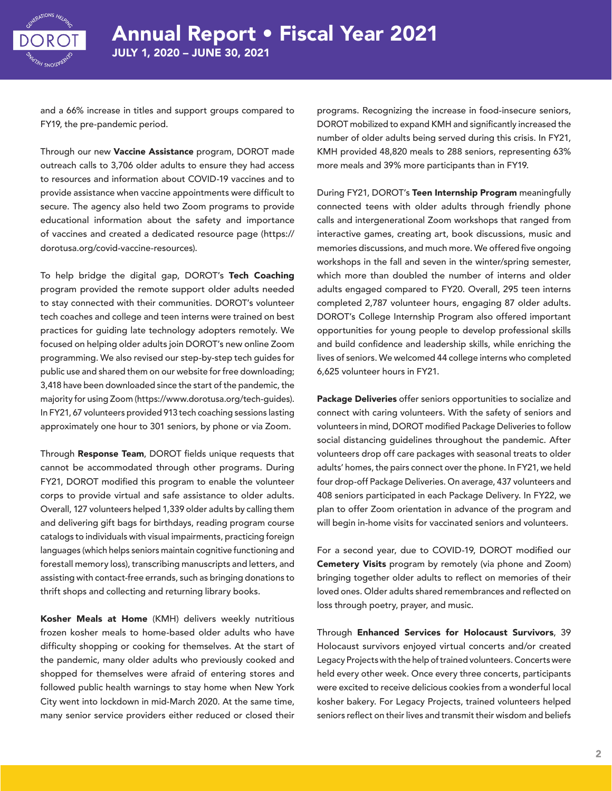

and a 66% increase in titles and support groups compared to FY19, the pre-pandemic period.

Through our new Vaccine Assistance program, DOROT made outreach calls to 3,706 older adults to ensure they had access to resources and information about COVID-19 vaccines and to provide assistance when vaccine appointments were difficult to secure. The agency also held two Zoom programs to provide educational information about the safety and importance of vaccines and created a dedicated resource page (https:// dorotusa.org/covid-vaccine-resources).

To help bridge the digital gap, DOROT's Tech Coaching program provided the remote support older adults needed to stay connected with their communities. DOROT's volunteer tech coaches and college and teen interns were trained on best practices for guiding late technology adopters remotely. We focused on helping older adults join DOROT's new online Zoom programming. We also revised our step-by-step tech guides for public use and shared them on our website for free downloading; 3,418 have been downloaded since the start of the pandemic, the majority for using Zoom (https://www.dorotusa.org/tech-guides). In FY21, 67 volunteers provided 913 tech coaching sessions lasting approximately one hour to 301 seniors, by phone or via Zoom.

Through Response Team, DOROT fields unique requests that cannot be accommodated through other programs. During FY21, DOROT modified this program to enable the volunteer corps to provide virtual and safe assistance to older adults. Overall, 127 volunteers helped 1,339 older adults by calling them and delivering gift bags for birthdays, reading program course catalogs to individuals with visual impairments, practicing foreign languages (which helps seniors maintain cognitive functioning and forestall memory loss), transcribing manuscripts and letters, and assisting with contact-free errands, such as bringing donations to thrift shops and collecting and returning library books.

Kosher Meals at Home (KMH) delivers weekly nutritious frozen kosher meals to home-based older adults who have difficulty shopping or cooking for themselves. At the start of the pandemic, many older adults who previously cooked and shopped for themselves were afraid of entering stores and followed public health warnings to stay home when New York City went into lockdown in mid-March 2020. At the same time, many senior service providers either reduced or closed their

programs. Recognizing the increase in food-insecure seniors, DOROT mobilized to expand KMH and significantly increased the number of older adults being served during this crisis. In FY21, KMH provided 48,820 meals to 288 seniors, representing 63% more meals and 39% more participants than in FY19.

During FY21, DOROT's Teen Internship Program meaningfully connected teens with older adults through friendly phone calls and intergenerational Zoom workshops that ranged from interactive games, creating art, book discussions, music and memories discussions, and much more. We offered five ongoing workshops in the fall and seven in the winter/spring semester, which more than doubled the number of interns and older adults engaged compared to FY20. Overall, 295 teen interns completed 2,787 volunteer hours, engaging 87 older adults. DOROT's College Internship Program also offered important opportunities for young people to develop professional skills and build confidence and leadership skills, while enriching the lives of seniors. We welcomed 44 college interns who completed 6,625 volunteer hours in FY21.

Package Deliveries offer seniors opportunities to socialize and connect with caring volunteers. With the safety of seniors and volunteers in mind, DOROT modified Package Deliveries to follow social distancing guidelines throughout the pandemic. After volunteers drop off care packages with seasonal treats to older adults' homes, the pairs connect over the phone. In FY21, we held four drop-off Package Deliveries. On average, 437 volunteers and 408 seniors participated in each Package Delivery. In FY22, we plan to offer Zoom orientation in advance of the program and will begin in-home visits for vaccinated seniors and volunteers.

For a second year, due to COVID-19, DOROT modified our Cemetery Visits program by remotely (via phone and Zoom) bringing together older adults to reflect on memories of their loved ones. Older adults shared remembrances and reflected on loss through poetry, prayer, and music.

Through Enhanced Services for Holocaust Survivors, 39 Holocaust survivors enjoyed virtual concerts and/or created Legacy Projects with the help of trained volunteers. Concerts were held every other week. Once every three concerts, participants were excited to receive delicious cookies from a wonderful local kosher bakery. For Legacy Projects, trained volunteers helped seniors reflect on their lives and transmit their wisdom and beliefs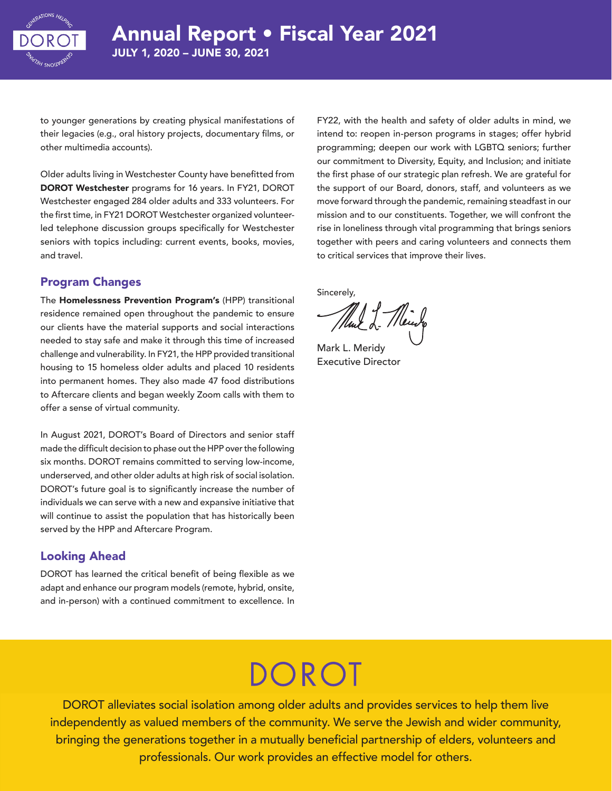

to younger generations by creating physical manifestations of their legacies (e.g., oral history projects, documentary films, or other multimedia accounts).

Older adults living in Westchester County have benefitted from DOROT Westchester programs for 16 years. In FY21, DOROT Westchester engaged 284 older adults and 333 volunteers. For the first time, in FY21 DOROT Westchester organized volunteerled telephone discussion groups specifically for Westchester seniors with topics including: current events, books, movies, and travel.

#### Program Changes

The Homelessness Prevention Program's (HPP) transitional residence remained open throughout the pandemic to ensure our clients have the material supports and social interactions needed to stay safe and make it through this time of increased challenge and vulnerability. In FY21, the HPP provided transitional housing to 15 homeless older adults and placed 10 residents into permanent homes. They also made 47 food distributions to Aftercare clients and began weekly Zoom calls with them to offer a sense of virtual community.

In August 2021, DOROT's Board of Directors and senior staff made the difficult decision to phase out the HPP over the following six months. DOROT remains committed to serving low-income, underserved, and other older adults at high risk of social isolation. DOROT's future goal is to significantly increase the number of individuals we can serve with a new and expansive initiative that will continue to assist the population that has historically been served by the HPP and Aftercare Program.

#### Looking Ahead

DOROT has learned the critical benefit of being flexible as we adapt and enhance our program models (remote, hybrid, onsite, and in-person) with a continued commitment to excellence. In

FY22, with the health and safety of older adults in mind, we intend to: reopen in-person programs in stages; offer hybrid programming; deepen our work with LGBTQ seniors; further our commitment to Diversity, Equity, and Inclusion; and initiate the first phase of our strategic plan refresh. We are grateful for the support of our Board, donors, staff, and volunteers as we move forward through the pandemic, remaining steadfast in our mission and to our constituents. Together, we will confront the rise in loneliness through vital programming that brings seniors together with peers and caring volunteers and connects them to critical services that improve their lives.

Sincerely,

Much-Meuro

Mark L. Meridy Executive Director

# DOROT

DOROT alleviates social isolation among older adults and provides services to help them live independently as valued members of the community. We serve the Jewish and wider community, bringing the generations together in a mutually beneficial partnership of elders, volunteers and of elders, volunteers and professionals. Our work provides an effective model for others. professionals. Our work provides an effective model for others.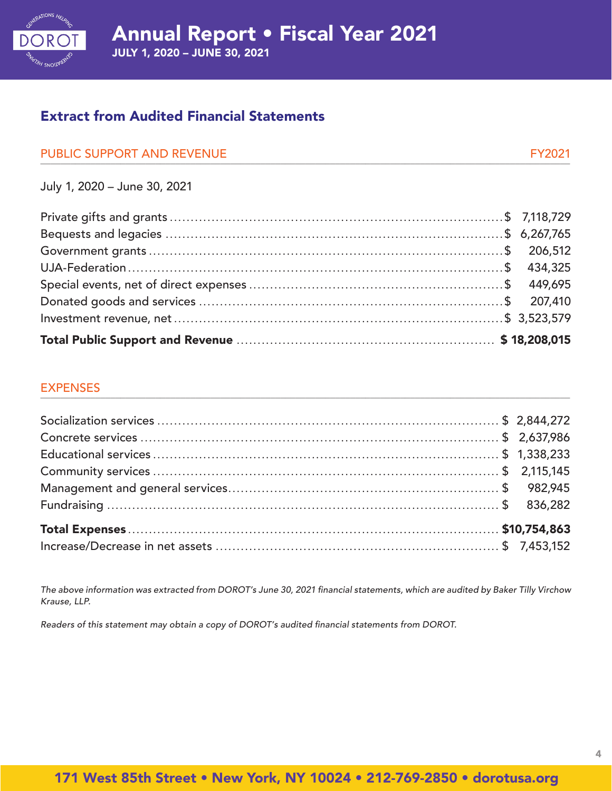

## Extract from Audited Financial Statements

| PUBLIC SUPPORT AND REVENUE |  |
|----------------------------|--|
|                            |  |

July 1, 2020 – June 30, 2021

#### EXPENSES  $\Box$

The above information was extracted from DOROT's June 30, 2021 financial statements, which are audited by Baker Tilly Virchow *Krause, LLP.*

Readers of this statement may obtain a copy of DOROT's audited financial statements from DOROT.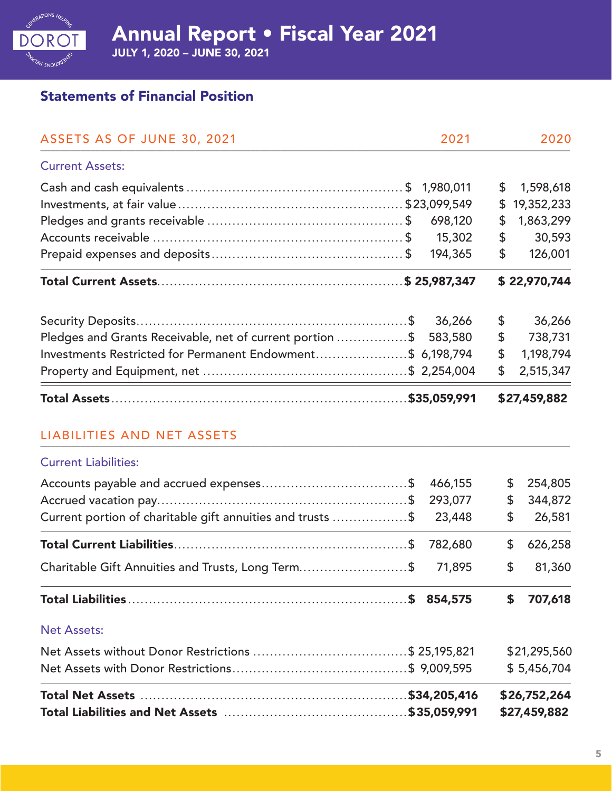

JULY 1, 2020 – JUNE 30, 2021

## Statements of Financial Position

| ASSETS AS OF JUNE 30, 2021                                 |  | 2021    |              | 2020         |
|------------------------------------------------------------|--|---------|--------------|--------------|
| <b>Current Assets:</b>                                     |  |         |              |              |
|                                                            |  |         | \$           | 1,598,618    |
|                                                            |  |         | \$           | 19,352,233   |
|                                                            |  | 698,120 | \$           | 1,863,299    |
|                                                            |  | 15,302  | \$           | 30,593       |
|                                                            |  | 194,365 | \$           | 126,001      |
|                                                            |  |         |              | \$22,970,744 |
|                                                            |  | 36,266  | \$           | 36,266       |
| Pledges and Grants Receivable, net of current portion \$   |  | 583,580 | \$           | 738,731      |
| Investments Restricted for Permanent Endowment\$ 6,198,794 |  |         | \$           | 1,198,794    |
|                                                            |  |         | \$           | 2,515,347    |
|                                                            |  |         | \$27,459,882 |              |
| <b>LIABILITIES AND NET ASSETS</b>                          |  |         |              |              |
| <b>Current Liabilities:</b>                                |  |         |              |              |
|                                                            |  | 466,155 | \$           | 254,805      |
|                                                            |  | 293,077 | \$           | 344,872      |
| Current portion of charitable gift annuities and trusts \$ |  | 23,448  | \$           | 26,581       |
|                                                            |  | 782,680 | \$           | 626,258      |
| Charitable Gift Annuities and Trusts, Long Term\$          |  | 71,895  | \$           | 81,360       |
|                                                            |  |         | \$           | 707,618      |
| <b>Net Assets:</b>                                         |  |         |              |              |
|                                                            |  |         | \$21,295,560 |              |
|                                                            |  |         | \$5,456,704  |              |
|                                                            |  |         |              | \$26,752,264 |
|                                                            |  |         |              | \$27,459,882 |